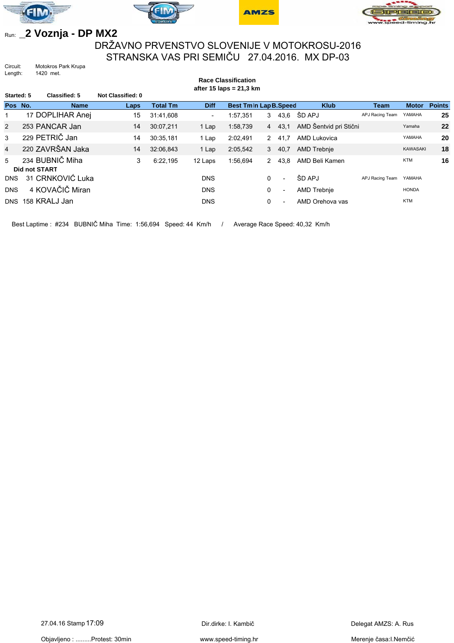







## Run: **\_2 Voznja - DP MX2**

## DRŽAVNO PRVENSTVO SLOVENIJE V MOTOKROSU-2016 STRANSKA VAS PRI SEMIČU 27.04.2016. MX DP-03

**Race Classification**

Circuit: Motokros Park Krupa<br>Length: 1420 met. 1420 met.

| after 15 laps = $21,3$ km |  |                                         |                          |                 |                          |                       |              |                          |                        |                 |                 |               |
|---------------------------|--|-----------------------------------------|--------------------------|-----------------|--------------------------|-----------------------|--------------|--------------------------|------------------------|-----------------|-----------------|---------------|
| Started: 5                |  | Classified: 5                           | <b>Not Classified: 0</b> |                 |                          |                       |              |                          |                        |                 |                 |               |
| Pos No.                   |  | <b>Name</b>                             | Laps                     | <b>Total Tm</b> | <b>Diff</b>              | Best Tmln Lap B.Speed |              |                          | <b>Klub</b>            | <b>Team</b>     | <b>Motor</b>    | <b>Points</b> |
|                           |  | 17 DOPLIHAR Anej                        | 15                       | 31:41,608       | $\overline{\phantom{0}}$ | 1:57.351              | 3            |                          | 43,6 ŠD APJ            | APJ Racing Team | YAMAHA          | 25            |
| $\overline{2}$            |  | 253 PANCAR Jan                          | 14                       | 30:07,211       | 1 Lap                    | 1:58,739              |              | 4 43.1                   | AMD Šentvid pri Stični |                 | Yamaha          | 22            |
| 3                         |  | 229 PETRIČ Jan                          | 14                       | 30:35.181       | 1 Lap                    | 2:02.491              | $\mathbf{2}$ | 41.7                     | <b>AMD Lukovica</b>    |                 | YAMAHA          | 20            |
| $\overline{4}$            |  | 220 ZAVRŠAN Jaka                        | 14                       | 32:06.843       | 1 Lap                    | 2:05,542              |              | 3, 40, 7                 | <b>AMD Trebnie</b>     |                 | <b>KAWASAKI</b> | 18            |
| 5                         |  | 234 BUBNIČ Miha<br><b>Did not START</b> | 3                        | 6:22.195        | 12 Laps                  | 1:56.694              | 2            | 43.8                     | AMD Beli Kamen         |                 | <b>KTM</b>      | 16            |
| <b>DNS</b>                |  | 31 CRNKOVIĆ Luka                        |                          |                 | <b>DNS</b>               |                       | 0            | $\overline{\phantom{0}}$ | ŠD APJ                 | APJ Racing Team | YAMAHA          |               |
| <b>DNS</b>                |  | 4 KOVAČIČ Miran                         |                          |                 | <b>DNS</b>               |                       | 0            | $\overline{\phantom{a}}$ | AMD Trebnie            |                 | <b>HONDA</b>    |               |
| <b>DNS</b>                |  | 158 KRALJ Jan                           |                          |                 | <b>DNS</b>               |                       | 0            |                          | AMD Orehova vas        |                 | <b>KTM</b>      |               |

Best Laptime : #234 BUBNIČ Miha Time: 1:56,694 Speed: 44 Km/h / Average Race Speed: 40,32 Km/h

Objavljeno : .........Protest: 30min